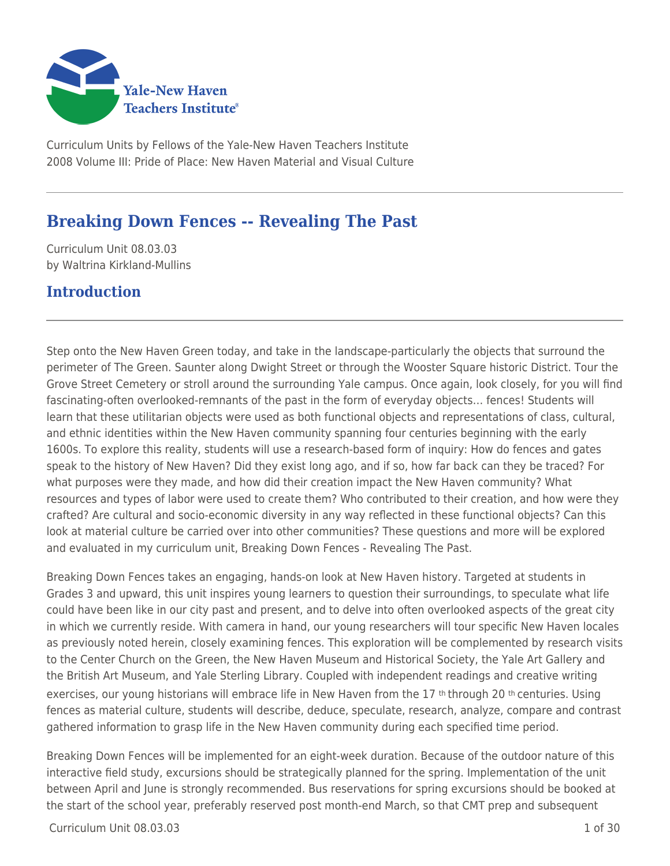

Curriculum Units by Fellows of the Yale-New Haven Teachers Institute 2008 Volume III: Pride of Place: New Haven Material and Visual Culture

# **Breaking Down Fences -- Revealing The Past**

Curriculum Unit 08.03.03 by Waltrina Kirkland-Mullins

## **Introduction**

Step onto the New Haven Green today, and take in the landscape-particularly the objects that surround the perimeter of The Green. Saunter along Dwight Street or through the Wooster Square historic District. Tour the Grove Street Cemetery or stroll around the surrounding Yale campus. Once again, look closely, for you will find fascinating-often overlooked-remnants of the past in the form of everyday objects… fences! Students will learn that these utilitarian objects were used as both functional objects and representations of class, cultural, and ethnic identities within the New Haven community spanning four centuries beginning with the early 1600s. To explore this reality, students will use a research-based form of inquiry: How do fences and gates speak to the history of New Haven? Did they exist long ago, and if so, how far back can they be traced? For what purposes were they made, and how did their creation impact the New Haven community? What resources and types of labor were used to create them? Who contributed to their creation, and how were they crafted? Are cultural and socio-economic diversity in any way reflected in these functional objects? Can this look at material culture be carried over into other communities? These questions and more will be explored and evaluated in my curriculum unit, Breaking Down Fences - Revealing The Past.

Breaking Down Fences takes an engaging, hands-on look at New Haven history. Targeted at students in Grades 3 and upward, this unit inspires young learners to question their surroundings, to speculate what life could have been like in our city past and present, and to delve into often overlooked aspects of the great city in which we currently reside. With camera in hand, our young researchers will tour specific New Haven locales as previously noted herein, closely examining fences. This exploration will be complemented by research visits to the Center Church on the Green, the New Haven Museum and Historical Society, the Yale Art Gallery and the British Art Museum, and Yale Sterling Library. Coupled with independent readings and creative writing exercises, our young historians will embrace life in New Haven from the 17<sup>th</sup> through 20<sup>th</sup> centuries. Using fences as material culture, students will describe, deduce, speculate, research, analyze, compare and contrast gathered information to grasp life in the New Haven community during each specified time period.

Breaking Down Fences will be implemented for an eight-week duration. Because of the outdoor nature of this interactive field study, excursions should be strategically planned for the spring. Implementation of the unit between April and June is strongly recommended. Bus reservations for spring excursions should be booked at the start of the school year, preferably reserved post month-end March, so that CMT prep and subsequent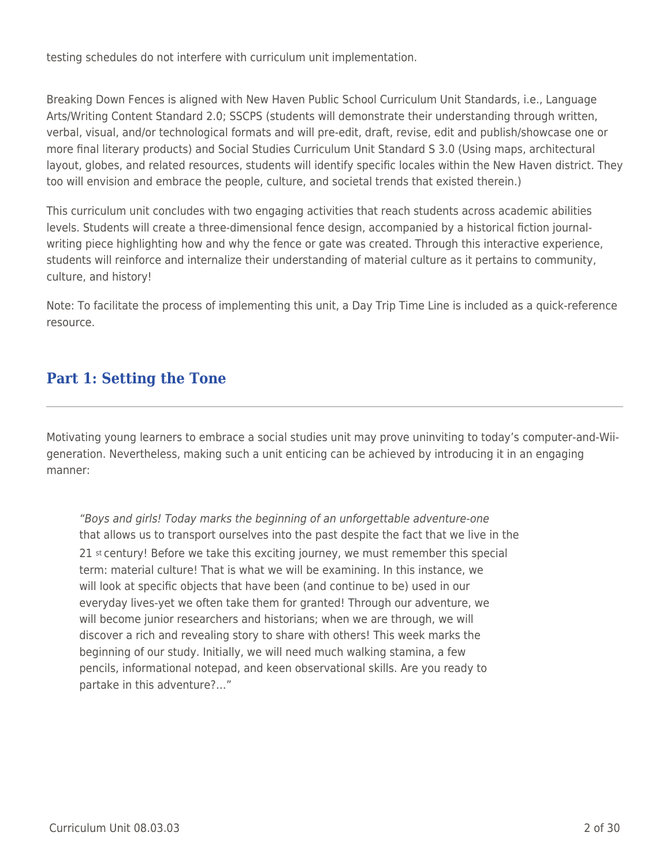testing schedules do not interfere with curriculum unit implementation.

Breaking Down Fences is aligned with New Haven Public School Curriculum Unit Standards, i.e., Language Arts/Writing Content Standard 2.0; SSCPS (students will demonstrate their understanding through written, verbal, visual, and/or technological formats and will pre-edit, draft, revise, edit and publish/showcase one or more final literary products) and Social Studies Curriculum Unit Standard S 3.0 (Using maps, architectural layout, globes, and related resources, students will identify specific locales within the New Haven district. They too will envision and embrace the people, culture, and societal trends that existed therein.)

This curriculum unit concludes with two engaging activities that reach students across academic abilities levels. Students will create a three-dimensional fence design, accompanied by a historical fiction journalwriting piece highlighting how and why the fence or gate was created. Through this interactive experience, students will reinforce and internalize their understanding of material culture as it pertains to community, culture, and history!

Note: To facilitate the process of implementing this unit, a Day Trip Time Line is included as a quick-reference resource.

## **Part 1: Setting the Tone**

Motivating young learners to embrace a social studies unit may prove uninviting to today's computer-and-Wiigeneration. Nevertheless, making such a unit enticing can be achieved by introducing it in an engaging manner:

"Boys and girls! Today marks the beginning of an unforgettable adventure-one that allows us to transport ourselves into the past despite the fact that we live in the 21 st century! Before we take this exciting journey, we must remember this special term: material culture! That is what we will be examining. In this instance, we will look at specific objects that have been (and continue to be) used in our everyday lives-yet we often take them for granted! Through our adventure, we will become junior researchers and historians; when we are through, we will discover a rich and revealing story to share with others! This week marks the beginning of our study. Initially, we will need much walking stamina, a few pencils, informational notepad, and keen observational skills. Are you ready to partake in this adventure?…"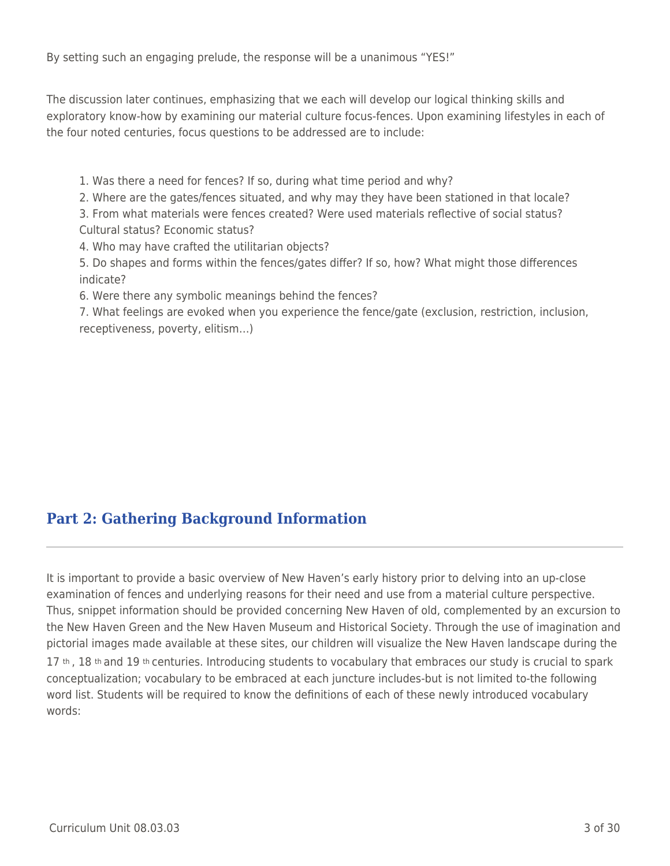By setting such an engaging prelude, the response will be a unanimous "YES!"

The discussion later continues, emphasizing that we each will develop our logical thinking skills and exploratory know-how by examining our material culture focus-fences. Upon examining lifestyles in each of the four noted centuries, focus questions to be addressed are to include:

1. Was there a need for fences? If so, during what time period and why?

2. Where are the gates/fences situated, and why may they have been stationed in that locale?

3. From what materials were fences created? Were used materials reflective of social status? Cultural status? Economic status?

4. Who may have crafted the utilitarian objects?

5. Do shapes and forms within the fences/gates differ? If so, how? What might those differences indicate?

6. Were there any symbolic meanings behind the fences?

7. What feelings are evoked when you experience the fence/gate (exclusion, restriction, inclusion, receptiveness, poverty, elitism…)

# **Part 2: Gathering Background Information**

It is important to provide a basic overview of New Haven's early history prior to delving into an up-close examination of fences and underlying reasons for their need and use from a material culture perspective. Thus, snippet information should be provided concerning New Haven of old, complemented by an excursion to the New Haven Green and the New Haven Museum and Historical Society. Through the use of imagination and pictorial images made available at these sites, our children will visualize the New Haven landscape during the 17 th, 18 th and 19 th centuries. Introducing students to vocabulary that embraces our study is crucial to spark conceptualization; vocabulary to be embraced at each juncture includes-but is not limited to-the following word list. Students will be required to know the definitions of each of these newly introduced vocabulary words: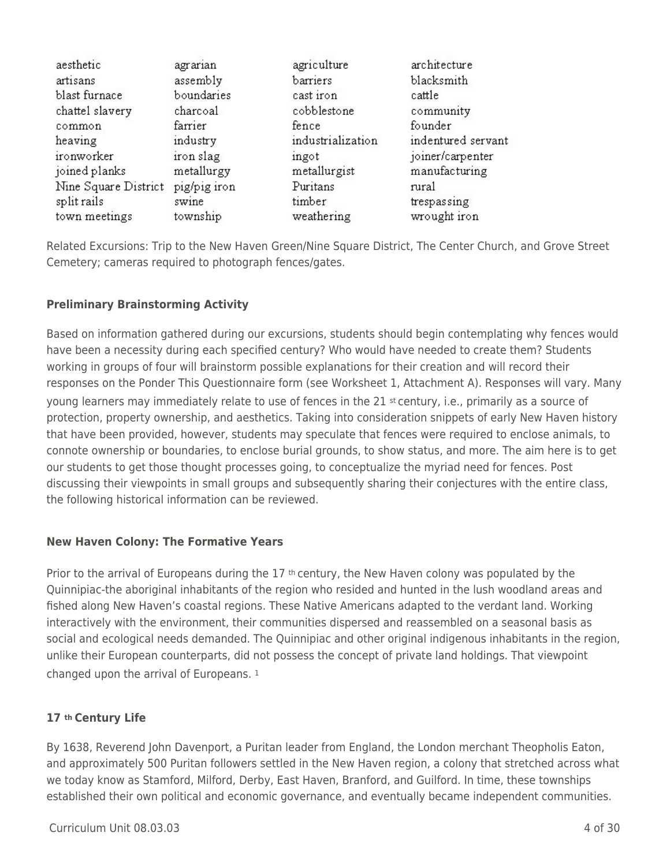| aesthetic            | agrarian     | agriculture       | architecture       |
|----------------------|--------------|-------------------|--------------------|
| artisans             | assembly     | barriers          | blacksmith         |
| blast furnace        | boundaries   | cast iron         | cattle             |
| chattel slavery      | charcoal     | cobblestone       | community          |
| common               | farrier      | fence             | founder            |
| heaving              | industry     | industrialization | indentured servant |
| ironworker           | iron slag    | ingot             | joiner/carpenter   |
| joined planks        | metallurgy   | metallurgist      | manufacturing      |
| Nine Square District | pig/pig iron | Puritans          | rural              |
| split rails          | swine        | timber            | trespassing        |
| town meetings        | township     | weathering        | wrought iron       |

Related Excursions: Trip to the New Haven Green/Nine Square District, The Center Church, and Grove Street Cemetery; cameras required to photograph fences/gates.

## **Preliminary Brainstorming Activity**

Based on information gathered during our excursions, students should begin contemplating why fences would have been a necessity during each specified century? Who would have needed to create them? Students working in groups of four will brainstorm possible explanations for their creation and will record their responses on the Ponder This Questionnaire form (see Worksheet 1, Attachment A). Responses will vary. Many young learners may immediately relate to use of fences in the 21 st century, i.e., primarily as a source of protection, property ownership, and aesthetics. Taking into consideration snippets of early New Haven history that have been provided, however, students may speculate that fences were required to enclose animals, to connote ownership or boundaries, to enclose burial grounds, to show status, and more. The aim here is to get our students to get those thought processes going, to conceptualize the myriad need for fences. Post discussing their viewpoints in small groups and subsequently sharing their conjectures with the entire class, the following historical information can be reviewed.

## **New Haven Colony: The Formative Years**

Prior to the arrival of Europeans during the  $17$  <sup>th</sup> century, the New Haven colony was populated by the Quinnipiac-the aboriginal inhabitants of the region who resided and hunted in the lush woodland areas and fished along New Haven's coastal regions. These Native Americans adapted to the verdant land. Working interactively with the environment, their communities dispersed and reassembled on a seasonal basis as social and ecological needs demanded. The Quinnipiac and other original indigenous inhabitants in the region, unlike their European counterparts, did not possess the concept of private land holdings. That viewpoint changed upon the arrival of Europeans. <sup>1</sup>

## **17 th Century Life**

By 1638, Reverend John Davenport, a Puritan leader from England, the London merchant Theopholis Eaton, and approximately 500 Puritan followers settled in the New Haven region, a colony that stretched across what we today know as Stamford, Milford, Derby, East Haven, Branford, and Guilford. In time, these townships established their own political and economic governance, and eventually became independent communities.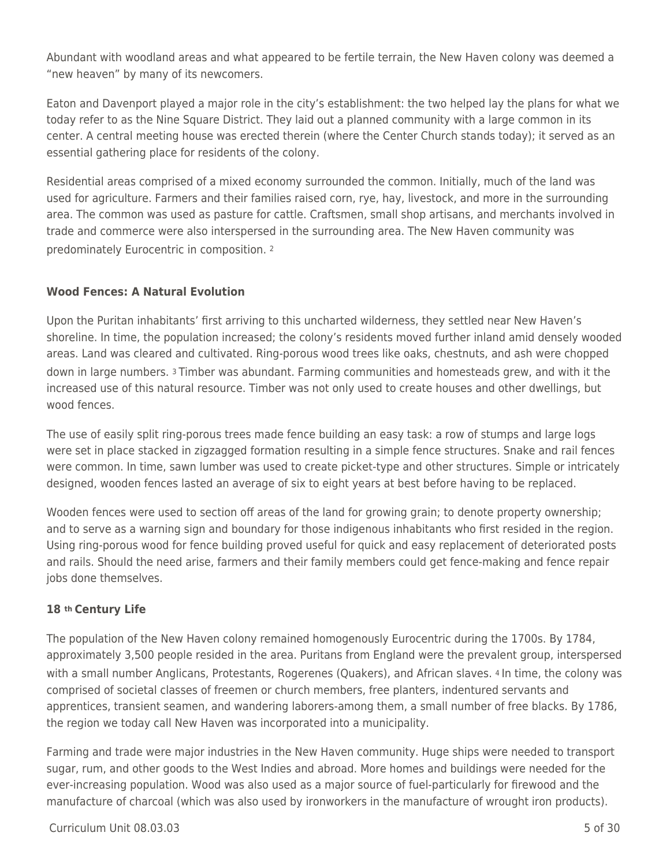Abundant with woodland areas and what appeared to be fertile terrain, the New Haven colony was deemed a "new heaven" by many of its newcomers.

Eaton and Davenport played a major role in the city's establishment: the two helped lay the plans for what we today refer to as the Nine Square District. They laid out a planned community with a large common in its center. A central meeting house was erected therein (where the Center Church stands today); it served as an essential gathering place for residents of the colony.

Residential areas comprised of a mixed economy surrounded the common. Initially, much of the land was used for agriculture. Farmers and their families raised corn, rye, hay, livestock, and more in the surrounding area. The common was used as pasture for cattle. Craftsmen, small shop artisans, and merchants involved in trade and commerce were also interspersed in the surrounding area. The New Haven community was predominately Eurocentric in composition. <sup>2</sup>

## **Wood Fences: A Natural Evolution**

Upon the Puritan inhabitants' first arriving to this uncharted wilderness, they settled near New Haven's shoreline. In time, the population increased; the colony's residents moved further inland amid densely wooded areas. Land was cleared and cultivated. Ring-porous wood trees like oaks, chestnuts, and ash were chopped down in large numbers. 3 Timber was abundant. Farming communities and homesteads grew, and with it the increased use of this natural resource. Timber was not only used to create houses and other dwellings, but wood fences.

The use of easily split ring-porous trees made fence building an easy task: a row of stumps and large logs were set in place stacked in zigzagged formation resulting in a simple fence structures. Snake and rail fences were common. In time, sawn lumber was used to create picket-type and other structures. Simple or intricately designed, wooden fences lasted an average of six to eight years at best before having to be replaced.

Wooden fences were used to section off areas of the land for growing grain; to denote property ownership; and to serve as a warning sign and boundary for those indigenous inhabitants who first resided in the region. Using ring-porous wood for fence building proved useful for quick and easy replacement of deteriorated posts and rails. Should the need arise, farmers and their family members could get fence-making and fence repair jobs done themselves.

## **18 th Century Life**

The population of the New Haven colony remained homogenously Eurocentric during the 1700s. By 1784, approximately 3,500 people resided in the area. Puritans from England were the prevalent group, interspersed with a small number Anglicans, Protestants, Rogerenes (Quakers), and African slaves. 4 In time, the colony was comprised of societal classes of freemen or church members, free planters, indentured servants and apprentices, transient seamen, and wandering laborers-among them, a small number of free blacks. By 1786, the region we today call New Haven was incorporated into a municipality.

Farming and trade were major industries in the New Haven community. Huge ships were needed to transport sugar, rum, and other goods to the West Indies and abroad. More homes and buildings were needed for the ever-increasing population. Wood was also used as a major source of fuel-particularly for firewood and the manufacture of charcoal (which was also used by ironworkers in the manufacture of wrought iron products).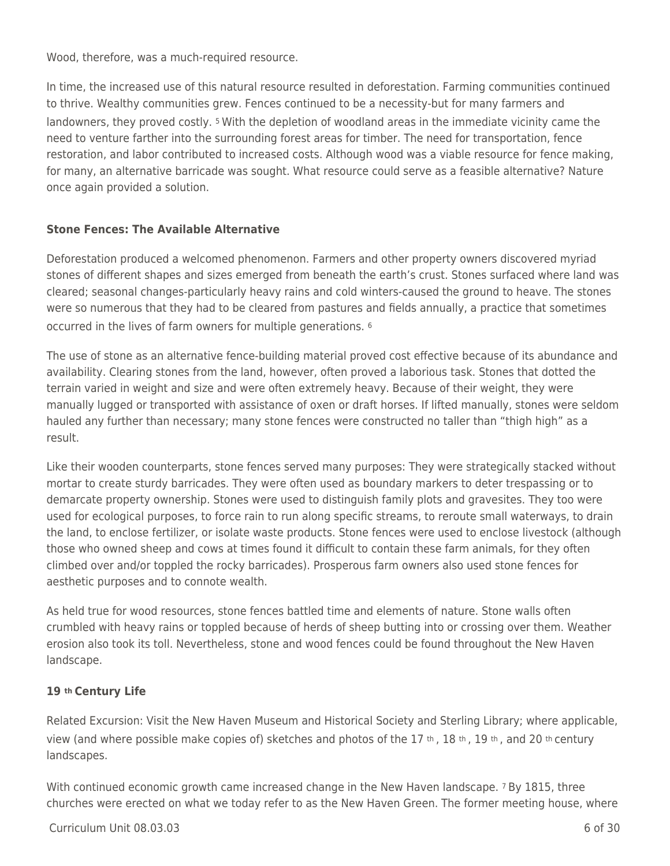Wood, therefore, was a much-required resource.

In time, the increased use of this natural resource resulted in deforestation. Farming communities continued to thrive. Wealthy communities grew. Fences continued to be a necessity-but for many farmers and landowners, they proved costly. 5 With the depletion of woodland areas in the immediate vicinity came the need to venture farther into the surrounding forest areas for timber. The need for transportation, fence restoration, and labor contributed to increased costs. Although wood was a viable resource for fence making, for many, an alternative barricade was sought. What resource could serve as a feasible alternative? Nature once again provided a solution.

## **Stone Fences: The Available Alternative**

Deforestation produced a welcomed phenomenon. Farmers and other property owners discovered myriad stones of different shapes and sizes emerged from beneath the earth's crust. Stones surfaced where land was cleared; seasonal changes-particularly heavy rains and cold winters-caused the ground to heave. The stones were so numerous that they had to be cleared from pastures and fields annually, a practice that sometimes occurred in the lives of farm owners for multiple generations. <sup>6</sup>

The use of stone as an alternative fence-building material proved cost effective because of its abundance and availability. Clearing stones from the land, however, often proved a laborious task. Stones that dotted the terrain varied in weight and size and were often extremely heavy. Because of their weight, they were manually lugged or transported with assistance of oxen or draft horses. If lifted manually, stones were seldom hauled any further than necessary; many stone fences were constructed no taller than "thigh high" as a result.

Like their wooden counterparts, stone fences served many purposes: They were strategically stacked without mortar to create sturdy barricades. They were often used as boundary markers to deter trespassing or to demarcate property ownership. Stones were used to distinguish family plots and gravesites. They too were used for ecological purposes, to force rain to run along specific streams, to reroute small waterways, to drain the land, to enclose fertilizer, or isolate waste products. Stone fences were used to enclose livestock (although those who owned sheep and cows at times found it difficult to contain these farm animals, for they often climbed over and/or toppled the rocky barricades). Prosperous farm owners also used stone fences for aesthetic purposes and to connote wealth.

As held true for wood resources, stone fences battled time and elements of nature. Stone walls often crumbled with heavy rains or toppled because of herds of sheep butting into or crossing over them. Weather erosion also took its toll. Nevertheless, stone and wood fences could be found throughout the New Haven landscape.

## **19 th Century Life**

Related Excursion: Visit the New Haven Museum and Historical Society and Sterling Library; where applicable, view (and where possible make copies of) sketches and photos of the 17 th , 18 th , 19 th , and 20 th century landscapes.

With continued economic growth came increased change in the New Haven landscape. 7 By 1815, three churches were erected on what we today refer to as the New Haven Green. The former meeting house, where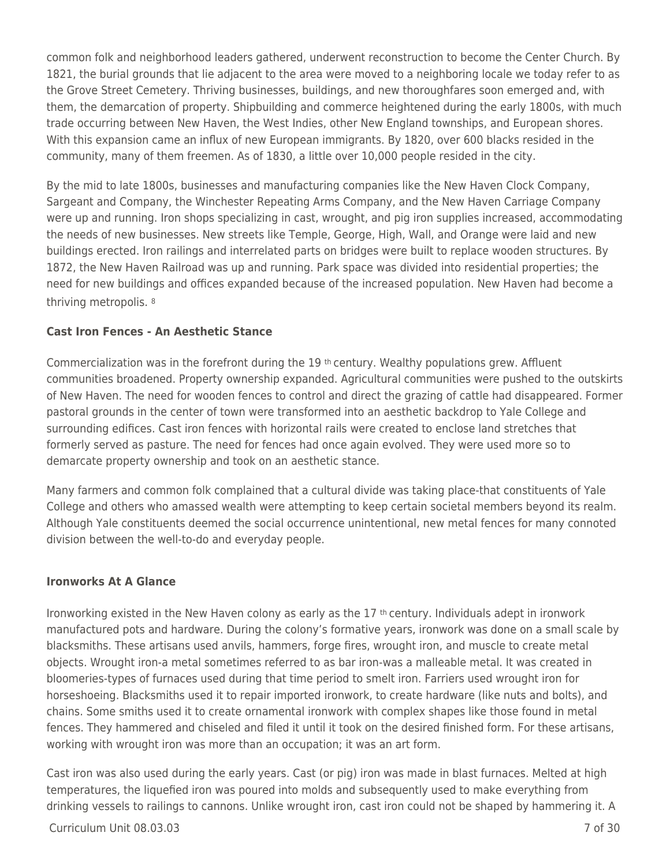common folk and neighborhood leaders gathered, underwent reconstruction to become the Center Church. By 1821, the burial grounds that lie adjacent to the area were moved to a neighboring locale we today refer to as the Grove Street Cemetery. Thriving businesses, buildings, and new thoroughfares soon emerged and, with them, the demarcation of property. Shipbuilding and commerce heightened during the early 1800s, with much trade occurring between New Haven, the West Indies, other New England townships, and European shores. With this expansion came an influx of new European immigrants. By 1820, over 600 blacks resided in the community, many of them freemen. As of 1830, a little over 10,000 people resided in the city.

By the mid to late 1800s, businesses and manufacturing companies like the New Haven Clock Company, Sargeant and Company, the Winchester Repeating Arms Company, and the New Haven Carriage Company were up and running. Iron shops specializing in cast, wrought, and pig iron supplies increased, accommodating the needs of new businesses. New streets like Temple, George, High, Wall, and Orange were laid and new buildings erected. Iron railings and interrelated parts on bridges were built to replace wooden structures. By 1872, the New Haven Railroad was up and running. Park space was divided into residential properties; the need for new buildings and offices expanded because of the increased population. New Haven had become a thriving metropolis. <sup>8</sup>

## **Cast Iron Fences - An Aesthetic Stance**

Commercialization was in the forefront during the 19 th century. Wealthy populations grew. Affluent communities broadened. Property ownership expanded. Agricultural communities were pushed to the outskirts of New Haven. The need for wooden fences to control and direct the grazing of cattle had disappeared. Former pastoral grounds in the center of town were transformed into an aesthetic backdrop to Yale College and surrounding edifices. Cast iron fences with horizontal rails were created to enclose land stretches that formerly served as pasture. The need for fences had once again evolved. They were used more so to demarcate property ownership and took on an aesthetic stance.

Many farmers and common folk complained that a cultural divide was taking place-that constituents of Yale College and others who amassed wealth were attempting to keep certain societal members beyond its realm. Although Yale constituents deemed the social occurrence unintentional, new metal fences for many connoted division between the well-to-do and everyday people.

#### **Ironworks At A Glance**

Ironworking existed in the New Haven colony as early as the 17 th century. Individuals adept in ironwork manufactured pots and hardware. During the colony's formative years, ironwork was done on a small scale by blacksmiths. These artisans used anvils, hammers, forge fires, wrought iron, and muscle to create metal objects. Wrought iron-a metal sometimes referred to as bar iron-was a malleable metal. It was created in bloomeries-types of furnaces used during that time period to smelt iron. Farriers used wrought iron for horseshoeing. Blacksmiths used it to repair imported ironwork, to create hardware (like nuts and bolts), and chains. Some smiths used it to create ornamental ironwork with complex shapes like those found in metal fences. They hammered and chiseled and filed it until it took on the desired finished form. For these artisans, working with wrought iron was more than an occupation; it was an art form.

Cast iron was also used during the early years. Cast (or pig) iron was made in blast furnaces. Melted at high temperatures, the liquefied iron was poured into molds and subsequently used to make everything from drinking vessels to railings to cannons. Unlike wrought iron, cast iron could not be shaped by hammering it. A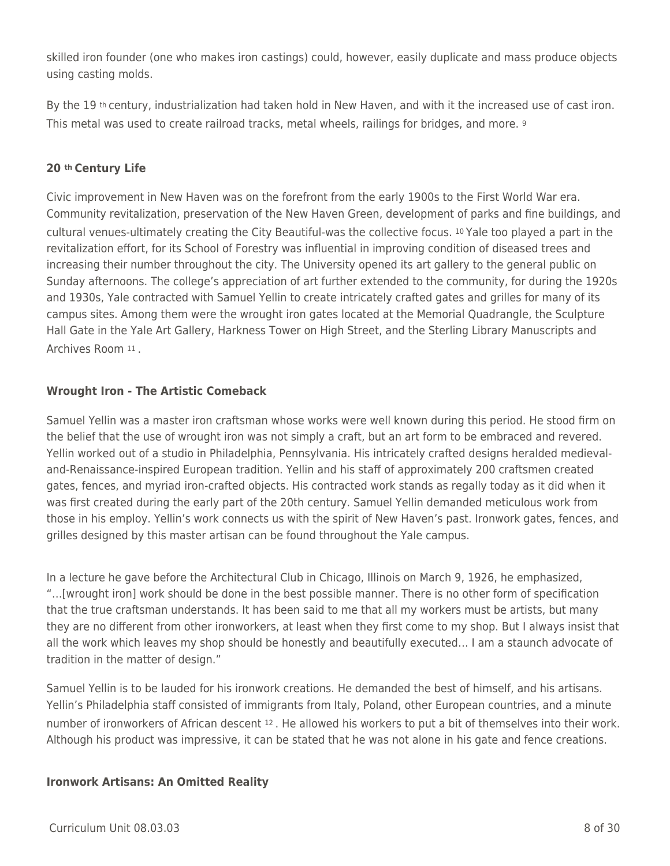skilled iron founder (one who makes iron castings) could, however, easily duplicate and mass produce objects using casting molds.

By the 19<sup>th</sup> century, industrialization had taken hold in New Haven, and with it the increased use of cast iron. This metal was used to create railroad tracks, metal wheels, railings for bridges, and more. <sup>9</sup>

## **20 th Century Life**

Civic improvement in New Haven was on the forefront from the early 1900s to the First World War era. Community revitalization, preservation of the New Haven Green, development of parks and fine buildings, and cultural venues-ultimately creating the City Beautiful-was the collective focus. 10 Yale too played a part in the revitalization effort, for its School of Forestry was influential in improving condition of diseased trees and increasing their number throughout the city. The University opened its art gallery to the general public on Sunday afternoons. The college's appreciation of art further extended to the community, for during the 1920s and 1930s, Yale contracted with Samuel Yellin to create intricately crafted gates and grilles for many of its campus sites. Among them were the wrought iron gates located at the Memorial Quadrangle, the Sculpture Hall Gate in the Yale Art Gallery, Harkness Tower on High Street, and the Sterling Library Manuscripts and Archives Room 11 .

## **Wrought Iron - The Artistic Comeback**

Samuel Yellin was a master iron craftsman whose works were well known during this period. He stood firm on the belief that the use of wrought iron was not simply a craft, but an art form to be embraced and revered. Yellin worked out of a studio in Philadelphia, Pennsylvania. His intricately crafted designs heralded medievaland-Renaissance-inspired European tradition. Yellin and his staff of approximately 200 craftsmen created gates, fences, and myriad iron-crafted objects. His contracted work stands as regally today as it did when it was first created during the early part of the 20th century. Samuel Yellin demanded meticulous work from those in his employ. Yellin's work connects us with the spirit of New Haven's past. Ironwork gates, fences, and grilles designed by this master artisan can be found throughout the Yale campus.

In a lecture he gave before the Architectural Club in Chicago, Illinois on March 9, 1926, he emphasized, "…[wrought iron] work should be done in the best possible manner. There is no other form of specification that the true craftsman understands. It has been said to me that all my workers must be artists, but many they are no different from other ironworkers, at least when they first come to my shop. But I always insist that all the work which leaves my shop should be honestly and beautifully executed… I am a staunch advocate of tradition in the matter of design."

Samuel Yellin is to be lauded for his ironwork creations. He demanded the best of himself, and his artisans. Yellin's Philadelphia staff consisted of immigrants from Italy, Poland, other European countries, and a minute number of ironworkers of African descent 12 . He allowed his workers to put a bit of themselves into their work. Although his product was impressive, it can be stated that he was not alone in his gate and fence creations.

## **Ironwork Artisans: An Omitted Reality**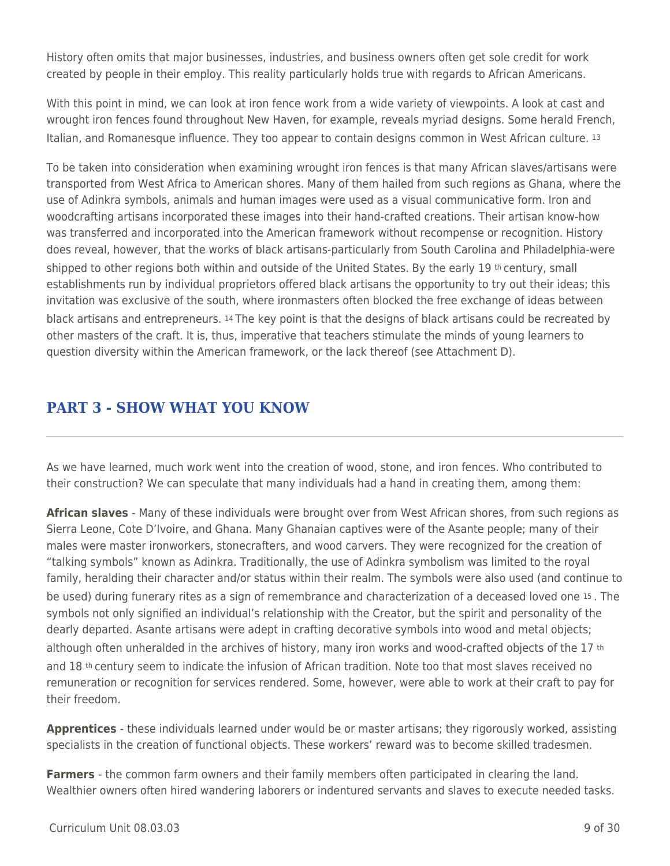History often omits that major businesses, industries, and business owners often get sole credit for work created by people in their employ. This reality particularly holds true with regards to African Americans.

With this point in mind, we can look at iron fence work from a wide variety of viewpoints. A look at cast and wrought iron fences found throughout New Haven, for example, reveals myriad designs. Some herald French, Italian, and Romanesque influence. They too appear to contain designs common in West African culture. <sup>13</sup>

To be taken into consideration when examining wrought iron fences is that many African slaves/artisans were transported from West Africa to American shores. Many of them hailed from such regions as Ghana, where the use of Adinkra symbols, animals and human images were used as a visual communicative form. Iron and woodcrafting artisans incorporated these images into their hand-crafted creations. Their artisan know-how was transferred and incorporated into the American framework without recompense or recognition. History does reveal, however, that the works of black artisans-particularly from South Carolina and Philadelphia-were shipped to other regions both within and outside of the United States. By the early 19 th century, small establishments run by individual proprietors offered black artisans the opportunity to try out their ideas; this invitation was exclusive of the south, where ironmasters often blocked the free exchange of ideas between black artisans and entrepreneurs. 14 The key point is that the designs of black artisans could be recreated by other masters of the craft. It is, thus, imperative that teachers stimulate the minds of young learners to question diversity within the American framework, or the lack thereof (see Attachment D).

# **PART 3 - SHOW WHAT YOU KNOW**

As we have learned, much work went into the creation of wood, stone, and iron fences. Who contributed to their construction? We can speculate that many individuals had a hand in creating them, among them:

**African slaves** - Many of these individuals were brought over from West African shores, from such regions as Sierra Leone, Cote D'Ivoire, and Ghana. Many Ghanaian captives were of the Asante people; many of their males were master ironworkers, stonecrafters, and wood carvers. They were recognized for the creation of "talking symbols" known as Adinkra. Traditionally, the use of Adinkra symbolism was limited to the royal family, heralding their character and/or status within their realm. The symbols were also used (and continue to be used) during funerary rites as a sign of remembrance and characterization of a deceased loved one 15 . The symbols not only signified an individual's relationship with the Creator, but the spirit and personality of the dearly departed. Asante artisans were adept in crafting decorative symbols into wood and metal objects; although often unheralded in the archives of history, many iron works and wood-crafted objects of the 17 <sup>th</sup> and 18 th century seem to indicate the infusion of African tradition. Note too that most slaves received no remuneration or recognition for services rendered. Some, however, were able to work at their craft to pay for their freedom.

**Apprentices** - these individuals learned under would be or master artisans; they rigorously worked, assisting specialists in the creation of functional objects. These workers' reward was to become skilled tradesmen.

**Farmers** - the common farm owners and their family members often participated in clearing the land. Wealthier owners often hired wandering laborers or indentured servants and slaves to execute needed tasks.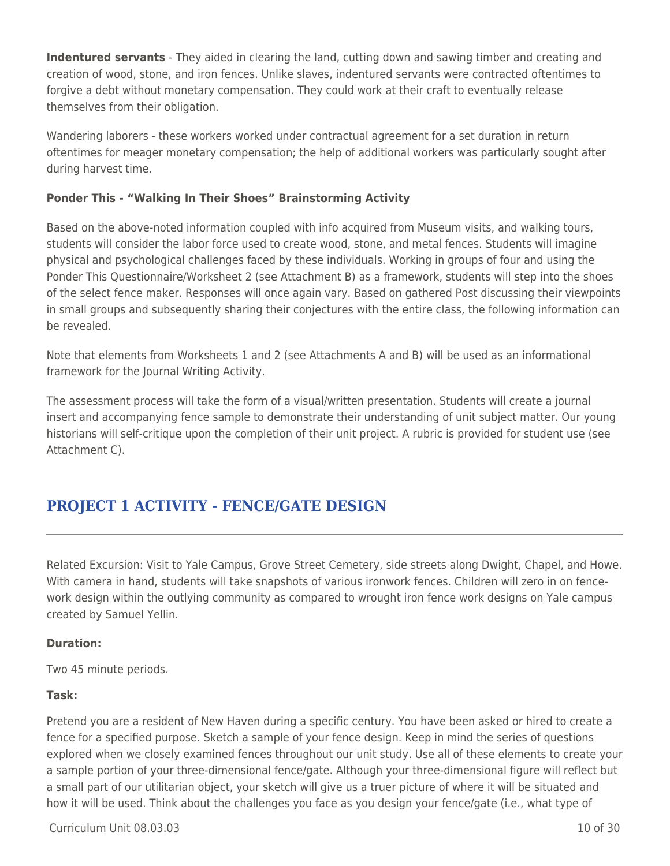**Indentured servants** - They aided in clearing the land, cutting down and sawing timber and creating and creation of wood, stone, and iron fences. Unlike slaves, indentured servants were contracted oftentimes to forgive a debt without monetary compensation. They could work at their craft to eventually release themselves from their obligation.

Wandering laborers - these workers worked under contractual agreement for a set duration in return oftentimes for meager monetary compensation; the help of additional workers was particularly sought after during harvest time.

## **Ponder This - "Walking In Their Shoes" Brainstorming Activity**

Based on the above-noted information coupled with info acquired from Museum visits, and walking tours, students will consider the labor force used to create wood, stone, and metal fences. Students will imagine physical and psychological challenges faced by these individuals. Working in groups of four and using the Ponder This Questionnaire/Worksheet 2 (see Attachment B) as a framework, students will step into the shoes of the select fence maker. Responses will once again vary. Based on gathered Post discussing their viewpoints in small groups and subsequently sharing their conjectures with the entire class, the following information can be revealed.

Note that elements from Worksheets 1 and 2 (see Attachments A and B) will be used as an informational framework for the Journal Writing Activity.

The assessment process will take the form of a visual/written presentation. Students will create a journal insert and accompanying fence sample to demonstrate their understanding of unit subject matter. Our young historians will self-critique upon the completion of their unit project. A rubric is provided for student use (see Attachment C).

# **PROJECT 1 ACTIVITY - FENCE/GATE DESIGN**

Related Excursion: Visit to Yale Campus, Grove Street Cemetery, side streets along Dwight, Chapel, and Howe. With camera in hand, students will take snapshots of various ironwork fences. Children will zero in on fencework design within the outlying community as compared to wrought iron fence work designs on Yale campus created by Samuel Yellin.

## **Duration:**

Two 45 minute periods.

## **Task:**

Pretend you are a resident of New Haven during a specific century. You have been asked or hired to create a fence for a specified purpose. Sketch a sample of your fence design. Keep in mind the series of questions explored when we closely examined fences throughout our unit study. Use all of these elements to create your a sample portion of your three-dimensional fence/gate. Although your three-dimensional figure will reflect but a small part of our utilitarian object, your sketch will give us a truer picture of where it will be situated and how it will be used. Think about the challenges you face as you design your fence/gate (i.e., what type of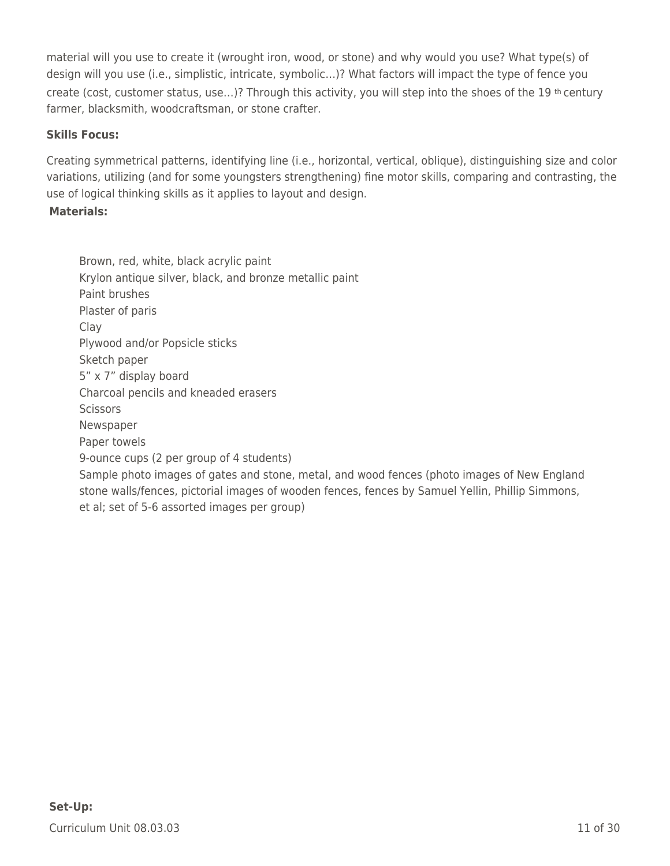material will you use to create it (wrought iron, wood, or stone) and why would you use? What type(s) of design will you use (i.e., simplistic, intricate, symbolic…)? What factors will impact the type of fence you create (cost, customer status, use…)? Through this activity, you will step into the shoes of the 19 th century farmer, blacksmith, woodcraftsman, or stone crafter.

## **Skills Focus:**

Creating symmetrical patterns, identifying line (i.e., horizontal, vertical, oblique), distinguishing size and color variations, utilizing (and for some youngsters strengthening) fine motor skills, comparing and contrasting, the use of logical thinking skills as it applies to layout and design.

## **Materials:**

Brown, red, white, black acrylic paint Krylon antique silver, black, and bronze metallic paint Paint brushes Plaster of paris Clay Plywood and/or Popsicle sticks Sketch paper 5" x 7" display board Charcoal pencils and kneaded erasers **Scissors** Newspaper Paper towels 9-ounce cups (2 per group of 4 students) Sample photo images of gates and stone, metal, and wood fences (photo images of New England stone walls/fences, pictorial images of wooden fences, fences by Samuel Yellin, Phillip Simmons, et al; set of 5-6 assorted images per group)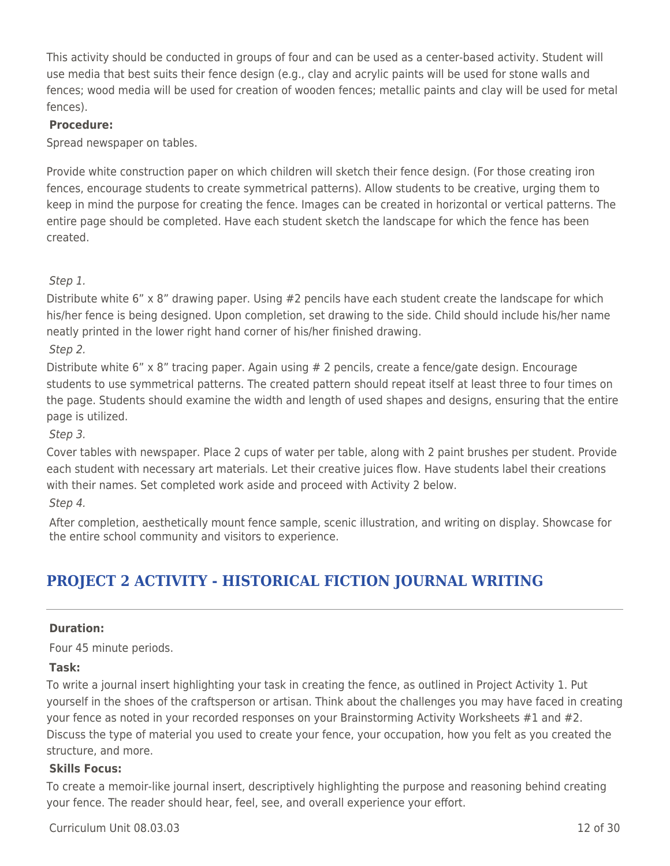This activity should be conducted in groups of four and can be used as a center-based activity. Student will use media that best suits their fence design (e.g., clay and acrylic paints will be used for stone walls and fences; wood media will be used for creation of wooden fences; metallic paints and clay will be used for metal fences).

#### **Procedure:**

Spread newspaper on tables.

Provide white construction paper on which children will sketch their fence design. (For those creating iron fences, encourage students to create symmetrical patterns). Allow students to be creative, urging them to keep in mind the purpose for creating the fence. Images can be created in horizontal or vertical patterns. The entire page should be completed. Have each student sketch the landscape for which the fence has been created.

Step 1.

Distribute white 6" x 8" drawing paper. Using #2 pencils have each student create the landscape for which his/her fence is being designed. Upon completion, set drawing to the side. Child should include his/her name neatly printed in the lower right hand corner of his/her finished drawing.

Step 2.

Distribute white 6" x 8" tracing paper. Again using # 2 pencils, create a fence/gate design. Encourage students to use symmetrical patterns. The created pattern should repeat itself at least three to four times on the page. Students should examine the width and length of used shapes and designs, ensuring that the entire page is utilized.

Step 3.

Cover tables with newspaper. Place 2 cups of water per table, along with 2 paint brushes per student. Provide each student with necessary art materials. Let their creative juices flow. Have students label their creations with their names. Set completed work aside and proceed with Activity 2 below.

Step 4.

After completion, aesthetically mount fence sample, scenic illustration, and writing on display. Showcase for the entire school community and visitors to experience.

# **PROJECT 2 ACTIVITY - HISTORICAL FICTION JOURNAL WRITING**

#### **Duration:**

Four 45 minute periods.

#### **Task:**

To write a journal insert highlighting your task in creating the fence, as outlined in Project Activity 1. Put yourself in the shoes of the craftsperson or artisan. Think about the challenges you may have faced in creating your fence as noted in your recorded responses on your Brainstorming Activity Worksheets #1 and #2. Discuss the type of material you used to create your fence, your occupation, how you felt as you created the structure, and more.

#### **Skills Focus:**

To create a memoir-like journal insert, descriptively highlighting the purpose and reasoning behind creating your fence. The reader should hear, feel, see, and overall experience your effort.

Curriculum Unit 08.03.03 12 of 30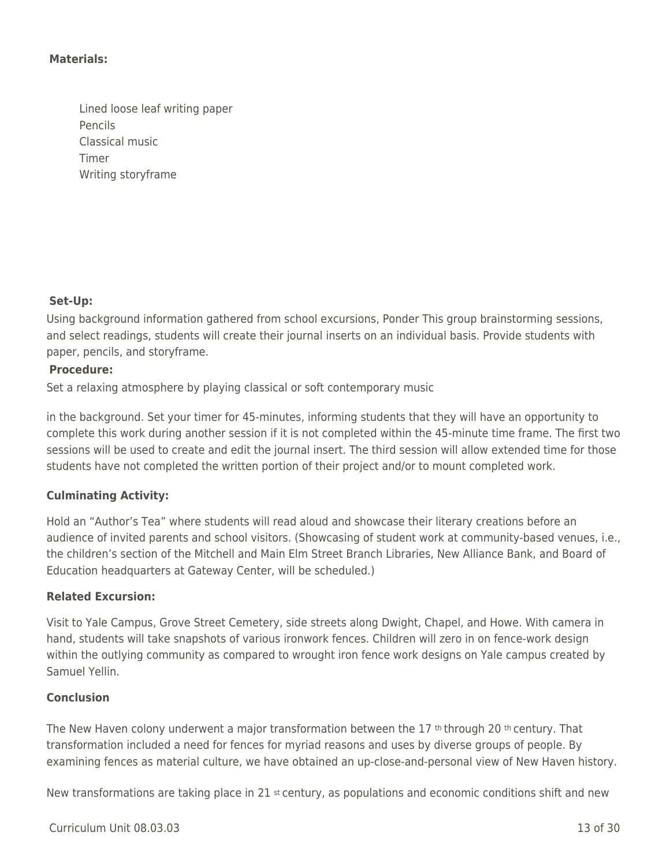#### **Materials:**

Lined loose leaf writing paper Pencils Classical music Timer Writing storyframe

#### **Set-Up:**

Using background information gathered from school excursions, Ponder This group brainstorming sessions, and select readings, students will create their journal inserts on an individual basis. Provide students with paper, pencils, and storyframe.

#### **Procedure:**

Set a relaxing atmosphere by playing classical or soft contemporary music

in the background. Set your timer for 45-minutes, informing students that they will have an opportunity to complete this work during another session if it is not completed within the 45-minute time frame. The first two sessions will be used to create and edit the journal insert. The third session will allow extended time for those students have not completed the written portion of their project and/or to mount completed work.

## **Culminating Activity:**

Hold an "Author's Tea" where students will read aloud and showcase their literary creations before an audience of invited parents and school visitors. (Showcasing of student work at community-based venues, i.e., the children's section of the Mitchell and Main Elm Street Branch Libraries, New Alliance Bank, and Board of Education headquarters at Gateway Center, will be scheduled.)

#### **Related Excursion:**

Visit to Yale Campus, Grove Street Cemetery, side streets along Dwight, Chapel, and Howe. With camera in hand, students will take snapshots of various ironwork fences. Children will zero in on fence-work design within the outlying community as compared to wrought iron fence work designs on Yale campus created by Samuel Yellin.

#### **Conclusion**

The New Haven colony underwent a major transformation between the 17 th through 20 th century. That transformation included a need for fences for myriad reasons and uses by diverse groups of people. By examining fences as material culture, we have obtained an up-close-and-personal view of New Haven history.

New transformations are taking place in 21 st century, as populations and economic conditions shift and new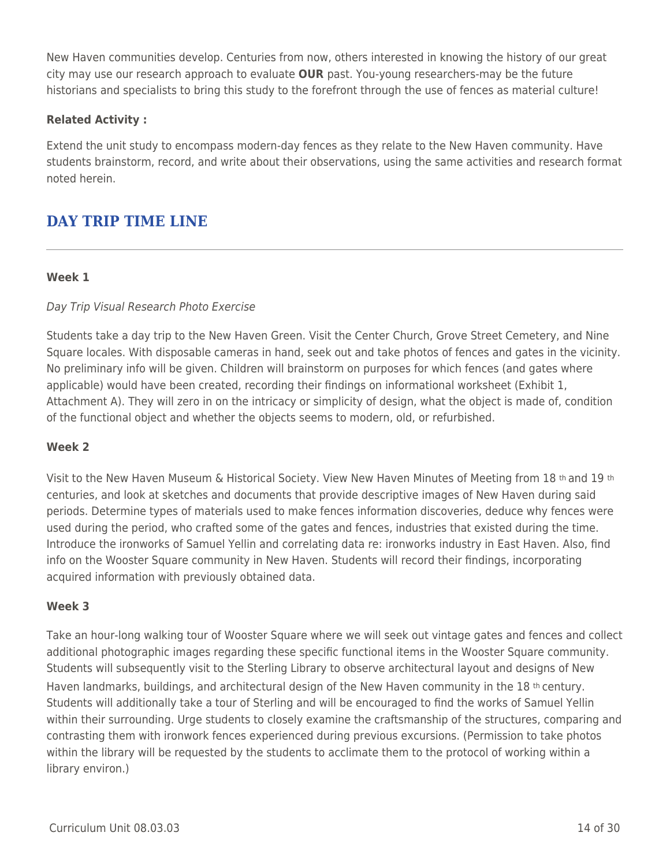New Haven communities develop. Centuries from now, others interested in knowing the history of our great city may use our research approach to evaluate **OUR** past. You-young researchers-may be the future historians and specialists to bring this study to the forefront through the use of fences as material culture!

## **Related Activity :**

Extend the unit study to encompass modern-day fences as they relate to the New Haven community. Have students brainstorm, record, and write about their observations, using the same activities and research format noted herein.

# **DAY TRIP TIME LINE**

## **Week 1**

## Day Trip Visual Research Photo Exercise

Students take a day trip to the New Haven Green. Visit the Center Church, Grove Street Cemetery, and Nine Square locales. With disposable cameras in hand, seek out and take photos of fences and gates in the vicinity. No preliminary info will be given. Children will brainstorm on purposes for which fences (and gates where applicable) would have been created, recording their findings on informational worksheet (Exhibit 1, Attachment A). They will zero in on the intricacy or simplicity of design, what the object is made of, condition of the functional object and whether the objects seems to modern, old, or refurbished.

## **Week 2**

Visit to the New Haven Museum & Historical Society. View New Haven Minutes of Meeting from 18 th and 19 th centuries, and look at sketches and documents that provide descriptive images of New Haven during said periods. Determine types of materials used to make fences information discoveries, deduce why fences were used during the period, who crafted some of the gates and fences, industries that existed during the time. Introduce the ironworks of Samuel Yellin and correlating data re: ironworks industry in East Haven. Also, find info on the Wooster Square community in New Haven. Students will record their findings, incorporating acquired information with previously obtained data.

#### **Week 3**

Take an hour-long walking tour of Wooster Square where we will seek out vintage gates and fences and collect additional photographic images regarding these specific functional items in the Wooster Square community. Students will subsequently visit to the Sterling Library to observe architectural layout and designs of New Haven landmarks, buildings, and architectural design of the New Haven community in the 18 th century. Students will additionally take a tour of Sterling and will be encouraged to find the works of Samuel Yellin within their surrounding. Urge students to closely examine the craftsmanship of the structures, comparing and contrasting them with ironwork fences experienced during previous excursions. (Permission to take photos within the library will be requested by the students to acclimate them to the protocol of working within a library environ.)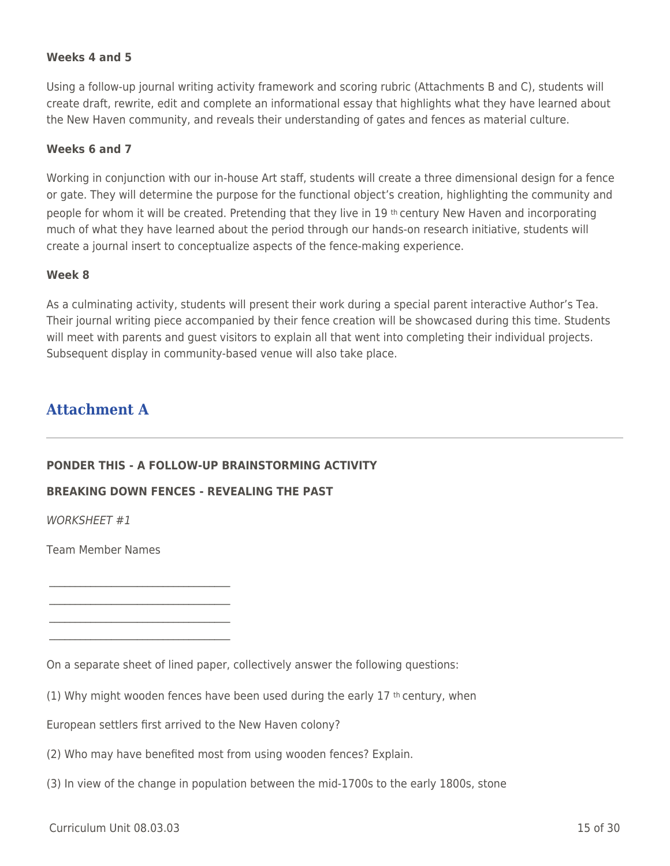#### **Weeks 4 and 5**

Using a follow-up journal writing activity framework and scoring rubric (Attachments B and C), students will create draft, rewrite, edit and complete an informational essay that highlights what they have learned about the New Haven community, and reveals their understanding of gates and fences as material culture.

#### **Weeks 6 and 7**

Working in conjunction with our in-house Art staff, students will create a three dimensional design for a fence or gate. They will determine the purpose for the functional object's creation, highlighting the community and people for whom it will be created. Pretending that they live in 19 th century New Haven and incorporating much of what they have learned about the period through our hands-on research initiative, students will create a journal insert to conceptualize aspects of the fence-making experience.

#### **Week 8**

As a culminating activity, students will present their work during a special parent interactive Author's Tea. Their journal writing piece accompanied by their fence creation will be showcased during this time. Students will meet with parents and guest visitors to explain all that went into completing their individual projects. Subsequent display in community-based venue will also take place.

## **Attachment A**

#### **PONDER THIS - A FOLLOW-UP BRAINSTORMING ACTIVITY**

#### **BREAKING DOWN FENCES - REVEALING THE PAST**

WORKSHEET #1

Team Member Names

 $\mathcal{L}_\text{max}$  , where  $\mathcal{L}_\text{max}$  and  $\mathcal{L}_\text{max}$  and  $\mathcal{L}_\text{max}$ 

 $\mathcal{L}_\mathcal{L}$  , where  $\mathcal{L}_\mathcal{L}$  , we have the set of the set of the set of the set of the set of the set of the set of the set of the set of the set of the set of the set of the set of the set of the set of the set  $\mathcal{L}_\text{max}$  , where  $\mathcal{L}_\text{max}$  and  $\mathcal{L}_\text{max}$  and  $\mathcal{L}_\text{max}$ 

(1) Why might wooden fences have been used during the early 17  $th$  century, when

European settlers first arrived to the New Haven colony?

- (2) Who may have benefited most from using wooden fences? Explain.
- (3) In view of the change in population between the mid-1700s to the early 1800s, stone

On a separate sheet of lined paper, collectively answer the following questions: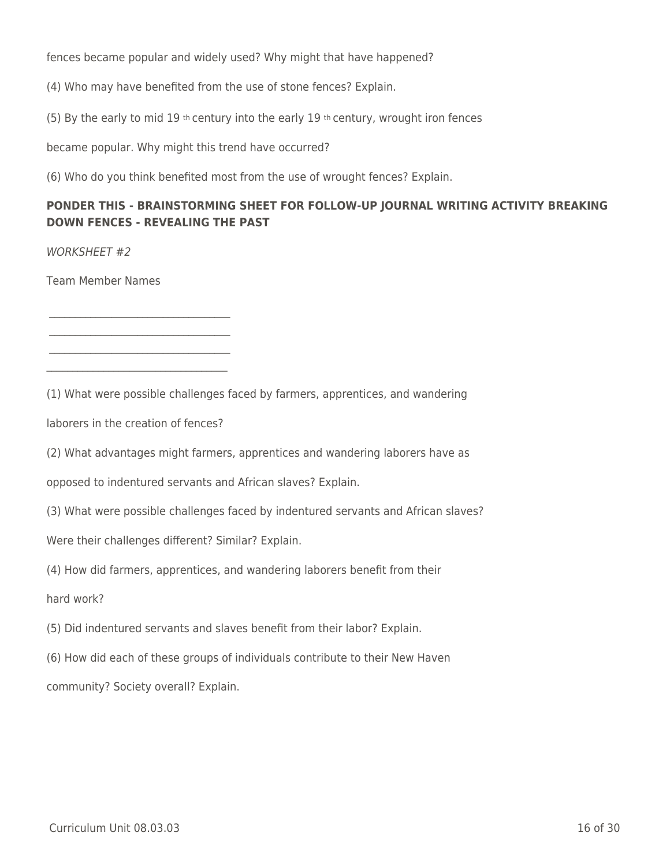fences became popular and widely used? Why might that have happened?

(4) Who may have benefited from the use of stone fences? Explain.

(5) By the early to mid 19 th century into the early 19 th century, wrought iron fences

became popular. Why might this trend have occurred?

(6) Who do you think benefited most from the use of wrought fences? Explain.

## **PONDER THIS - BRAINSTORMING SHEET FOR FOLLOW-UP JOURNAL WRITING ACTIVITY BREAKING DOWN FENCES - REVEALING THE PAST**

WORKSHEET #2

Team Member Names

(1) What were possible challenges faced by farmers, apprentices, and wandering

laborers in the creation of fences?

 $\mathcal{L}_\text{max}$  , where  $\mathcal{L}_\text{max}$  and  $\mathcal{L}_\text{max}$  and  $\mathcal{L}_\text{max}$ 

 $\mathcal{L}_\text{max}$  , where  $\mathcal{L}_\text{max}$  and  $\mathcal{L}_\text{max}$  and  $\mathcal{L}_\text{max}$ \_\_\_\_\_\_\_\_\_\_\_\_\_\_\_\_\_\_\_\_\_\_\_\_\_\_\_\_\_\_\_\_\_\_\_

(2) What advantages might farmers, apprentices and wandering laborers have as

opposed to indentured servants and African slaves? Explain.

(3) What were possible challenges faced by indentured servants and African slaves?

Were their challenges different? Similar? Explain.

(4) How did farmers, apprentices, and wandering laborers benefit from their

hard work?

(5) Did indentured servants and slaves benefit from their labor? Explain.

(6) How did each of these groups of individuals contribute to their New Haven

community? Society overall? Explain.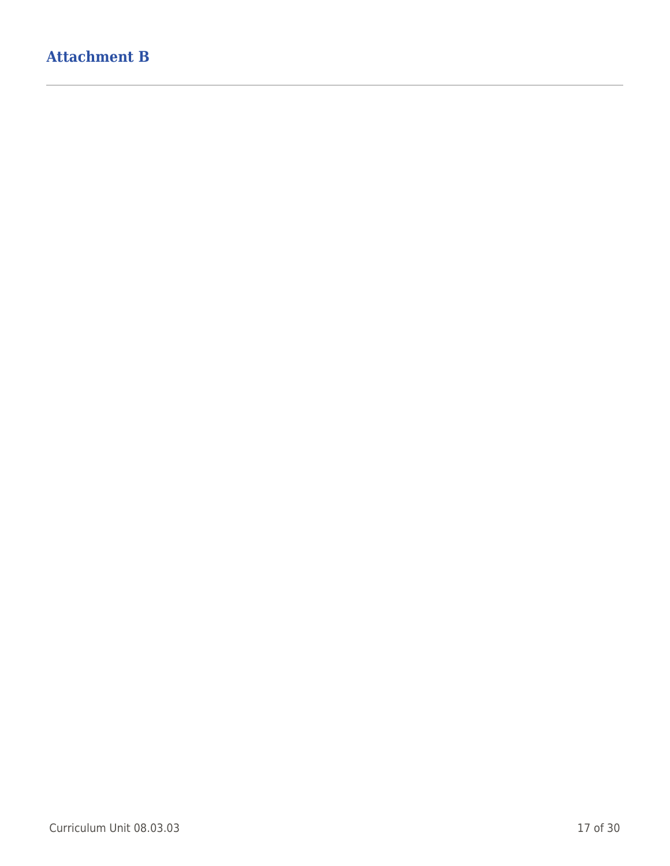# **Attachment B**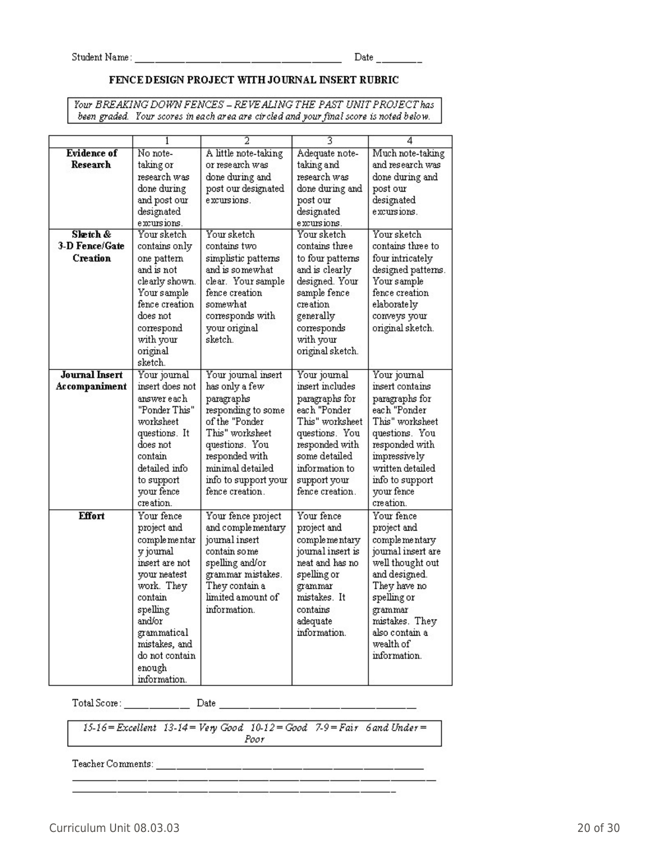#### FENCE DESIGN PROJECT WITH JOURNAL INSERT RUBRIC

Your BREAKING DOWN FENCES - REVEALING THE PAST UNIT PROJECT has been graded. Your scores in each area are circled and your final score is noted below.

|                       | 1               |                      | 3                 | 4                  |
|-----------------------|-----------------|----------------------|-------------------|--------------------|
| <b>Evidence</b> of    | No note-        | A little note-taking | Adequate note-    | Much note-taking   |
| Research              | taking or       | or research was      | taking and        | and research was   |
|                       | research was    | done during and      | research was      | done during and    |
|                       | done during     | post our designated  | done during and   | post our           |
|                       | and post our    | excursions.          | post our          | designated         |
|                       | designated      |                      | designated        | excursions.        |
|                       | excursions.     |                      | excursions.       |                    |
| Slætch &              | Your sketch     | Your sketch          | Your sketch       | Your sketch        |
| 3-D Fence/Gate        | contains only   | contains two         | contains three    | contains three to  |
| Creation              | one pattern     | simplistic patterns. | to four patterns  | four intricately   |
|                       | and is not      | and is somewhat      | and is clearly    | designed patterns. |
|                       | clearly shown.  | clear. Your sample.  | designed. Your    | Your sample        |
|                       | Your sample     | fence creation       | sample fence      | fence creation     |
|                       | fence creation  | somewhat             | creation          | elaborately        |
|                       | does not        | corresponds with     | generally         | conveys your       |
|                       | correspond      | your original        | corresponds       | original sketch.   |
|                       | with your       | sketch.              | with your         |                    |
|                       | original        |                      | original sketch.  |                    |
|                       | sketch.         |                      |                   |                    |
| <b>Journal Insert</b> | Your journal    | Your journal insert  | Your journal      | Your journal       |
| Accompaniment         | insert does not | has only a few       | insert includes   | insert contains    |
|                       | answer each-    | paragraphs           | paragraphs for    | paragraphs for     |
|                       | "Ponder This"   | responding to some   | each "Ponder      | each "Ponder       |
|                       | worksheet       | of the "Ponder       | This" worksheet   | This" worksheet    |
|                       | questions. It   | This" worksheet      | questions. You    | questions. You     |
|                       | does not        | questions. You       | responded with    | responded with     |
|                       | contain         | responded with       | some detailed     | impressive ly      |
|                       | detailed info   | minimal detailed     | information to    | written detailed   |
|                       | to support      | info to support your | support your-     | info to support    |
|                       | your fence      | fence creation.      | fence creation.   | your fence         |
|                       | creation.       |                      |                   | creation.          |
| <b>Effort</b>         | Your fence      | Your fence project   | Your fence        | Your fence         |
|                       | project and     | and complementary    | project and       | project and        |
|                       | comple me ntar  | journal insert       | complementary     | comple me ntary    |
|                       | v journal       | contain so me        | journal insert is | journal insert are |
|                       | insert are not  | spelling and/or      | neat and has no   | well thought out   |
|                       | your neatest    | grammar mistakes.    | spelling or       | and designed.      |
|                       | work. They      | They contain a       | grammar           | They have no       |
|                       | contain         | limited amount of    | mistakes. It      | spelling or        |
|                       | spelling        | information.         | contains          | grammar            |
|                       | and/or          |                      | adequate          | mistakes. They     |
|                       | grammatical     |                      | information.      | also contain a     |
|                       | mistakes, and   |                      |                   | wealth of          |
|                       | do not contain  |                      |                   | information.       |
|                       | enough          |                      |                   |                    |
|                       | information.    |                      |                   |                    |

 $15-16$  = Excellent  $13-14$  = Very Good  $10-12$  = Good 7-9 = Fair 6 and Under =  $Poor$ 

a de la provincia de la provincia de la provincia de la provincia de la provincia de la provincia de la provin<br>La provincia de la provincia de la provincia de la provincia de la provincia de la provincia de la provincia d

Teacher Comments: \_\_\_\_\_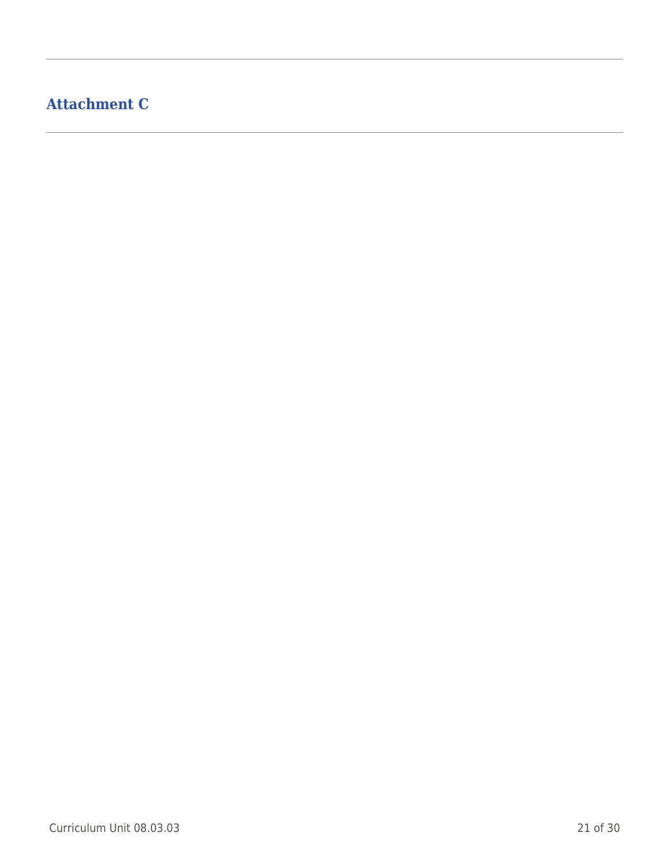# **Attachment C**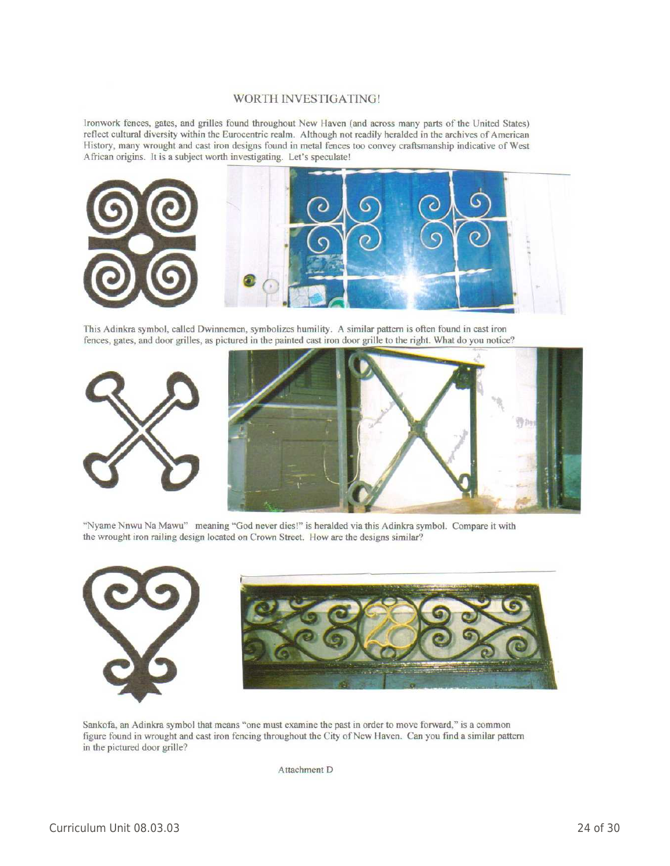#### **WORTH INVESTIGATING!**

Ironwork fences, gates, and grilles found throughout New Haven (and across many parts of the United States) reflect cultural diversity within the Eurocentric realm. Although not readily heralded in the archives of American History, many wrought and cast iron designs found in metal fences too convey craftsmanship indicative of West African origins. It is a subject worth investigating. Let's speculate!



This Adinkra symbol, called Dwinnemen, symbolizes humility. A similar pattern is often found in cast iron fences, gates, and door grilles, as pictured in the painted cast iron door grille to the right. What do you notice?



"Nyame Nnwu Na Mawu" meaning "God never dies!" is heralded via this Adinkra symbol. Compare it with the wrought iron railing design located on Crown Street. How are the designs similar?



Sankofa, an Adinkra symbol that means "one must examine the past in order to move forward," is a common figure found in wrought and cast iron fencing throughout the City of New Haven. Can you find a similar pattern in the pictured door grille?

Attachment D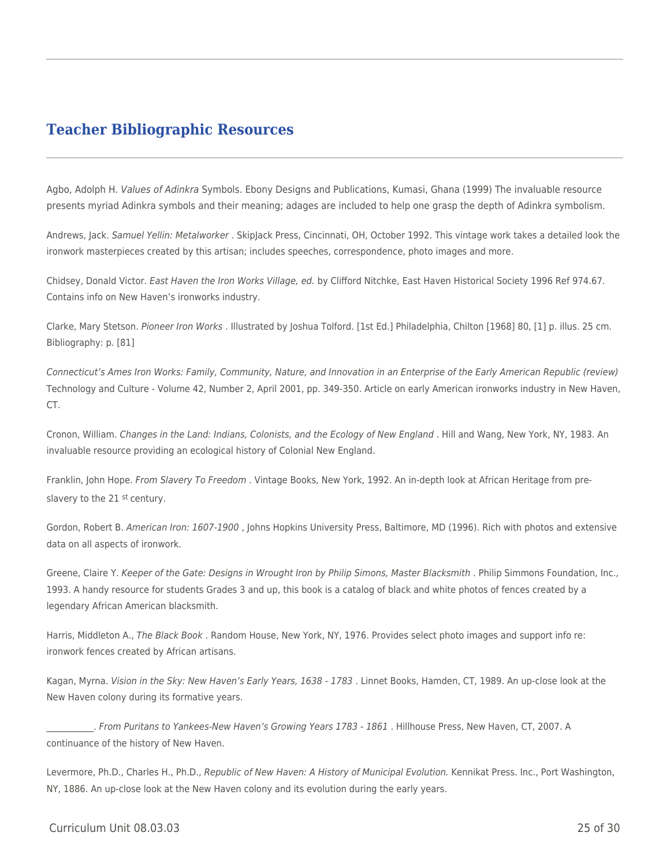## **Teacher Bibliographic Resources**

Agbo, Adolph H. Values of Adinkra Symbols. Ebony Designs and Publications, Kumasi, Ghana (1999) The invaluable resource presents myriad Adinkra symbols and their meaning; adages are included to help one grasp the depth of Adinkra symbolism.

Andrews, Jack. Samuel Yellin: Metalworker . SkipJack Press, Cincinnati, OH, October 1992. This vintage work takes a detailed look the ironwork masterpieces created by this artisan; includes speeches, correspondence, photo images and more.

Chidsey, Donald Victor. East Haven the Iron Works Village, ed. by Clifford Nitchke, East Haven Historical Society 1996 Ref 974.67. Contains info on New Haven's ironworks industry.

Clarke, Mary Stetson. Pioneer Iron Works . Illustrated by Joshua Tolford. [1st Ed.] Philadelphia, Chilton [1968] 80, [1] p. illus. 25 cm. Bibliography: p. [81]

Connecticut's Ames Iron Works: Family, Community, Nature, and Innovation in an Enterprise of the Early American Republic (review) Technology and Culture - Volume 42, Number 2, April 2001, pp. 349-350. Article on early American ironworks industry in New Haven, CT.

Cronon, William. Changes in the Land: Indians, Colonists, and the Ecology of New England . Hill and Wang, New York, NY, 1983. An invaluable resource providing an ecological history of Colonial New England.

Franklin, John Hope. From Slavery To Freedom . Vintage Books, New York, 1992. An in-depth look at African Heritage from preslavery to the 21 st century.

Gordon, Robert B. American Iron: 1607-1900 , Johns Hopkins University Press, Baltimore, MD (1996). Rich with photos and extensive data on all aspects of ironwork.

Greene, Claire Y. Keeper of the Gate: Designs in Wrought Iron by Philip Simons, Master Blacksmith . Philip Simmons Foundation, Inc., 1993. A handy resource for students Grades 3 and up, this book is a catalog of black and white photos of fences created by a legendary African American blacksmith.

Harris, Middleton A., The Black Book. Random House, New York, NY, 1976. Provides select photo images and support info re: ironwork fences created by African artisans.

Kagan, Myrna. Vision in the Sky: New Haven's Early Years, 1638 - 1783 . Linnet Books, Hamden, CT, 1989. An up-close look at the New Haven colony during its formative years.

\_\_\_\_\_\_\_\_\_\_\_. From Puritans to Yankees-New Haven's Growing Years 1783 - 1861 . Hillhouse Press, New Haven, CT, 2007. A continuance of the history of New Haven.

Levermore, Ph.D., Charles H., Ph.D., Republic of New Haven: A History of Municipal Evolution. Kennikat Press. Inc., Port Washington, NY, 1886. An up-close look at the New Haven colony and its evolution during the early years.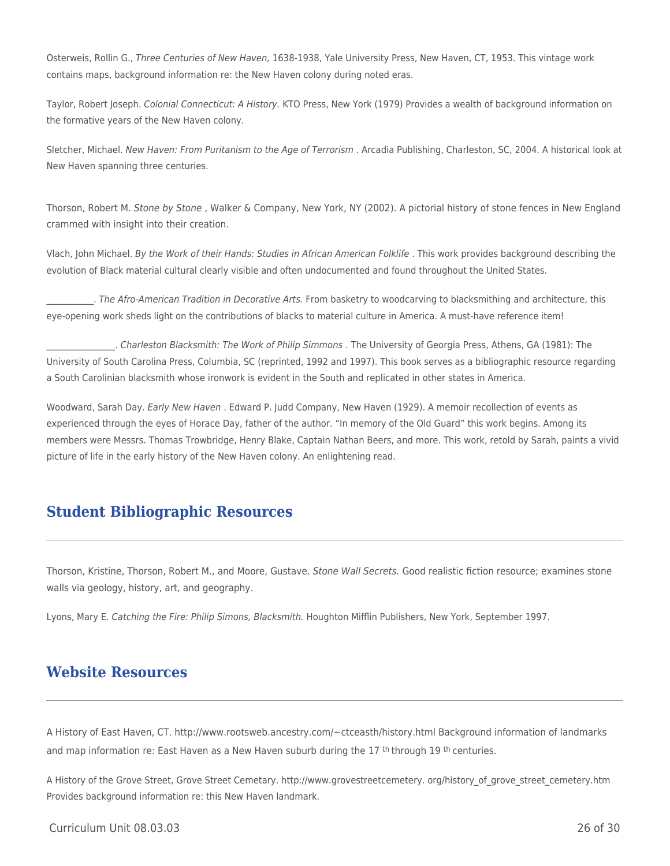Osterweis, Rollin G., Three Centuries of New Haven, 1638-1938, Yale University Press, New Haven, CT, 1953. This vintage work contains maps, background information re: the New Haven colony during noted eras.

Taylor, Robert Joseph. Colonial Connecticut: A History. KTO Press, New York (1979) Provides a wealth of background information on the formative years of the New Haven colony.

Sletcher, Michael. New Haven: From Puritanism to the Age of Terrorism . Arcadia Publishing, Charleston, SC, 2004. A historical look at New Haven spanning three centuries.

Thorson, Robert M. Stone by Stone , Walker & Company, New York, NY (2002). A pictorial history of stone fences in New England crammed with insight into their creation.

Vlach, John Michael. By the Work of their Hands: Studies in African American Folklife . This work provides background describing the evolution of Black material cultural clearly visible and often undocumented and found throughout the United States.

. The Afro-American Tradition in Decorative Arts. From basketry to woodcarving to blacksmithing and architecture, this eye-opening work sheds light on the contributions of blacks to material culture in America. A must-have reference item!

\_\_\_\_\_\_\_\_\_\_\_\_\_\_\_\_. Charleston Blacksmith: The Work of Philip Simmons . The University of Georgia Press, Athens, GA (1981): The University of South Carolina Press, Columbia, SC (reprinted, 1992 and 1997). This book serves as a bibliographic resource regarding a South Carolinian blacksmith whose ironwork is evident in the South and replicated in other states in America.

Woodward, Sarah Day. Early New Haven . Edward P. Judd Company, New Haven (1929). A memoir recollection of events as experienced through the eyes of Horace Day, father of the author. "In memory of the Old Guard" this work begins. Among its members were Messrs. Thomas Trowbridge, Henry Blake, Captain Nathan Beers, and more. This work, retold by Sarah, paints a vivid picture of life in the early history of the New Haven colony. An enlightening read.

## **Student Bibliographic Resources**

Thorson, Kristine, Thorson, Robert M., and Moore, Gustave. Stone Wall Secrets. Good realistic fiction resource; examines stone walls via geology, history, art, and geography.

Lyons, Mary E. Catching the Fire: Philip Simons, Blacksmith. Houghton Mifflin Publishers, New York, September 1997.

## **Website Resources**

A History of East Haven, CT. http://www.rootsweb.ancestry.com/~ctceasth/history.html Background information of landmarks and map information re: East Haven as a New Haven suburb during the 17<sup>th</sup> through 19<sup>th</sup> centuries.

A History of the Grove Street, Grove Street Cemetary. http://www.grovestreetcemetery. org/history\_of\_grove\_street\_cemetery.htm Provides background information re: this New Haven landmark.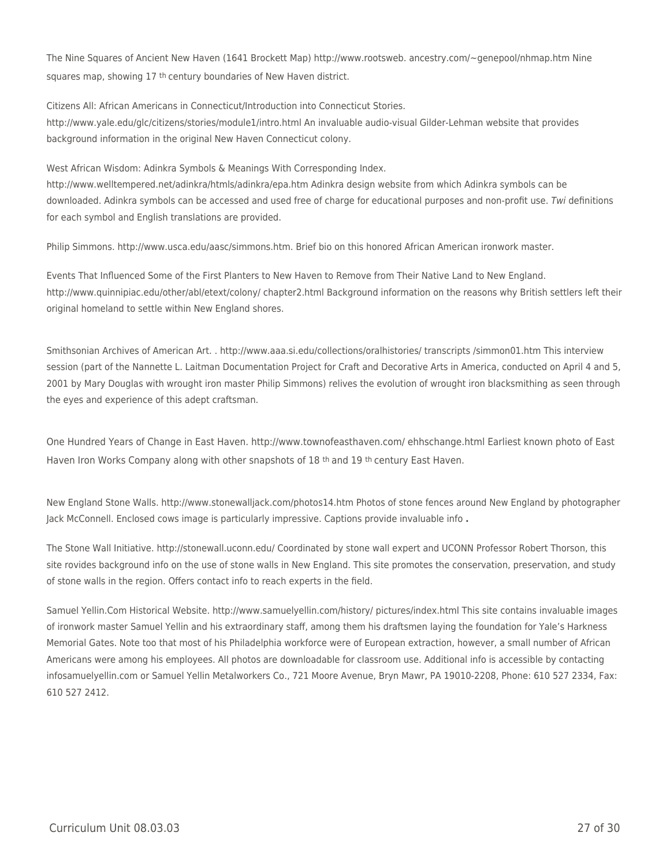The Nine Squares of Ancient New Haven (1641 Brockett Map) http://www.rootsweb. ancestry.com/~genepool/nhmap.htm Nine squares map, showing 17<sup>th</sup> century boundaries of New Haven district.

Citizens All: African Americans in Connecticut/Introduction into Connecticut Stories. http://www.yale.edu/glc/citizens/stories/module1/intro.html An invaluable audio-visual Gilder-Lehman website that provides background information in the original New Haven Connecticut colony.

West African Wisdom: Adinkra Symbols & Meanings With Corresponding Index.

http://www.welltempered.net/adinkra/htmls/adinkra/epa.htm Adinkra design website from which Adinkra symbols can be downloaded. Adinkra symbols can be accessed and used free of charge for educational purposes and non-profit use. Twi definitions for each symbol and English translations are provided.

Philip Simmons. http://www.usca.edu/aasc/simmons.htm. Brief bio on this honored African American ironwork master.

Events That Influenced Some of the First Planters to New Haven to Remove from Their Native Land to New England. http://www.quinnipiac.edu/other/abl/etext/colony/ chapter2.html Background information on the reasons why British settlers left their original homeland to settle within New England shores.

Smithsonian Archives of American Art. . http://www.aaa.si.edu/collections/oralhistories/ transcripts /simmon01.htm This interview session (part of the Nannette L. Laitman Documentation Project for Craft and Decorative Arts in America, conducted on April 4 and 5, 2001 by Mary Douglas with wrought iron master Philip Simmons) relives the evolution of wrought iron blacksmithing as seen through the eyes and experience of this adept craftsman.

One Hundred Years of Change in East Haven. http://www.townofeasthaven.com/ ehhschange.html Earliest known photo of East Haven Iron Works Company along with other snapshots of 18<sup>th</sup> and 19<sup>th</sup> century East Haven.

New England Stone Walls. http://www.stonewalljack.com/photos14.htm Photos of stone fences around New England by photographer Jack McConnell. Enclosed cows image is particularly impressive. Captions provide invaluable info **.**

The Stone Wall Initiative. http://stonewall.uconn.edu/ Coordinated by stone wall expert and UCONN Professor Robert Thorson, this site rovides background info on the use of stone walls in New England. This site promotes the conservation, preservation, and study of stone walls in the region. Offers contact info to reach experts in the field.

Samuel Yellin.Com Historical Website. http://www.samuelyellin.com/history/ pictures/index.html This site contains invaluable images of ironwork master Samuel Yellin and his extraordinary staff, among them his draftsmen laying the foundation for Yale's Harkness Memorial Gates. Note too that most of his Philadelphia workforce were of European extraction, however, a small number of African Americans were among his employees. All photos are downloadable for classroom use. Additional info is accessible by contacting infosamuelyellin.com or Samuel Yellin Metalworkers Co., 721 Moore Avenue, Bryn Mawr, PA 19010-2208, Phone: 610 527 2334, Fax: 610 527 2412.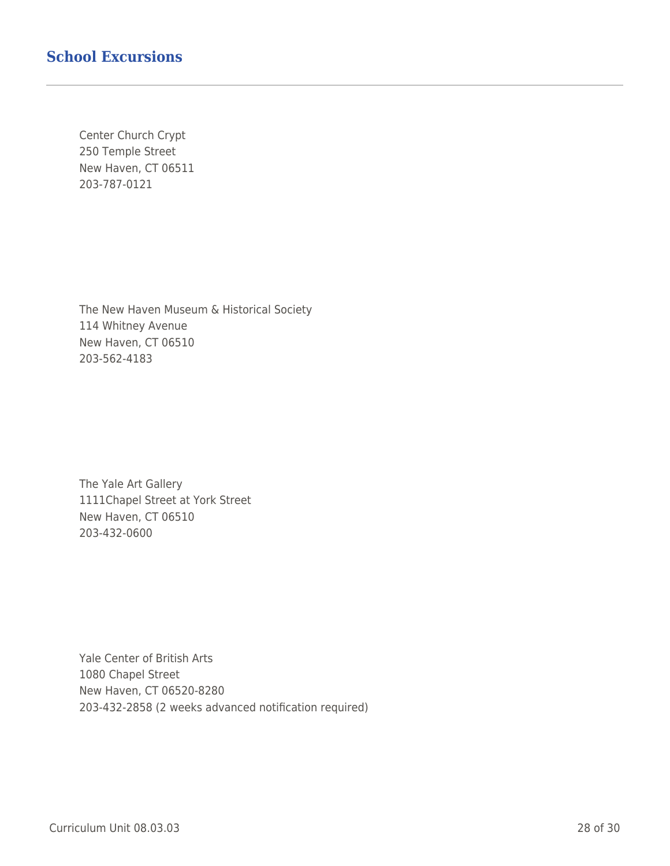## **School Excursions**

Center Church Crypt 250 Temple Street New Haven, CT 06511 203-787-0121

The New Haven Museum & Historical Society 114 Whitney Avenue New Haven, CT 06510 203-562-4183

The Yale Art Gallery 1111Chapel Street at York Street New Haven, CT 06510 203-432-0600

Yale Center of British Arts 1080 Chapel Street New Haven, CT 06520-8280 203-432-2858 (2 weeks advanced notification required)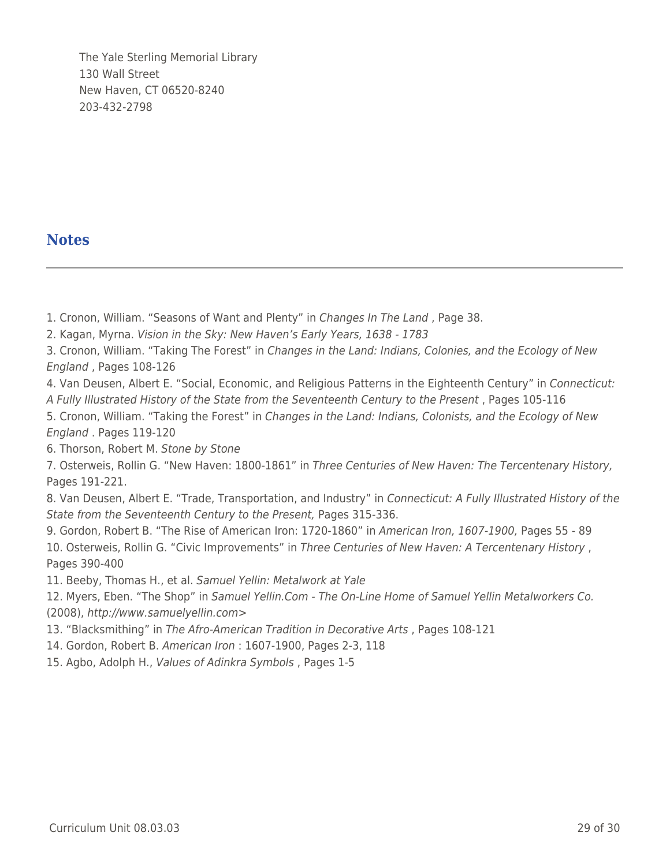The Yale Sterling Memorial Library 130 Wall Street New Haven, CT 06520-8240 203-432-2798

## **Notes**

- 1. Cronon, William. "Seasons of Want and Plenty" in Changes In The Land , Page 38.
- 2. Kagan, Myrna. Vision in the Sky: New Haven's Early Years, 1638 1783

3. Cronon, William. "Taking The Forest" in Changes in the Land: Indians, Colonies, and the Ecology of New England , Pages 108-126

4. Van Deusen, Albert E. "Social, Economic, and Religious Patterns in the Eighteenth Century" in Connecticut: A Fully Illustrated History of the State from the Seventeenth Century to the Present , Pages 105-116

5. Cronon, William. "Taking the Forest" in Changes in the Land: Indians, Colonists, and the Ecology of New England . Pages 119-120

6. Thorson, Robert M. Stone by Stone

7. Osterweis, Rollin G. "New Haven: 1800-1861" in Three Centuries of New Haven: The Tercentenary History, Pages 191-221.

8. Van Deusen, Albert E. "Trade, Transportation, and Industry" in Connecticut: A Fully Illustrated History of the State from the Seventeenth Century to the Present, Pages 315-336.

9. Gordon, Robert B. "The Rise of American Iron: 1720-1860" in American Iron, 1607-1900, Pages 55 - 89 10. Osterweis, Rollin G. "Civic Improvements" in Three Centuries of New Haven: A Tercentenary History , Pages 390-400

11. Beeby, Thomas H., et al. Samuel Yellin: Metalwork at Yale

12. Myers, Eben. "The Shop" in Samuel Yellin.Com - The On-Line Home of Samuel Yellin Metalworkers Co. (2008), http://www.samuelyellin.com>

- 13. "Blacksmithing" in The Afro-American Tradition in Decorative Arts , Pages 108-121
- 14. Gordon, Robert B. American Iron : 1607-1900, Pages 2-3, 118
- 15. Agbo, Adolph H., Values of Adinkra Symbols , Pages 1-5